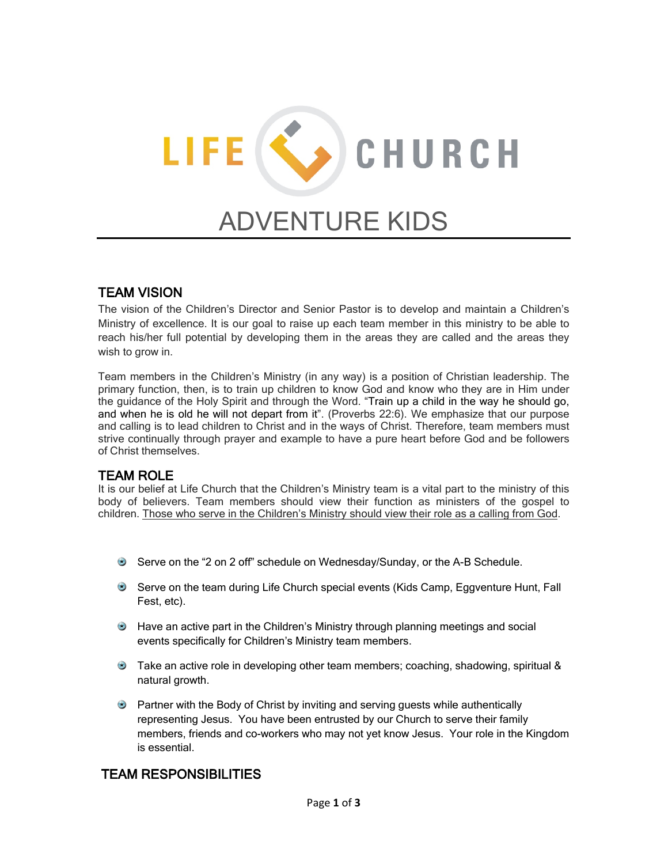# LIFE (C) CHURCH ADVENTURE KIDS

# TEAM VISION

The vision of the Children's Director and Senior Pastor is to develop and maintain a Children's Ministry of excellence. It is our goal to raise up each team member in this ministry to be able to reach his/her full potential by developing them in the areas they are called and the areas they wish to grow in.

Team members in the Children's Ministry (in any way) is a position of Christian leadership. The primary function, then, is to train up children to know God and know who they are in Him under the guidance of the Holy Spirit and through the Word. "Train up a child in the way he should go, and when he is old he will not depart from it". (Proverbs 22:6). We emphasize that our purpose and calling is to lead children to Christ and in the ways of Christ. Therefore, team members must strive continually through prayer and example to have a pure heart before God and be followers of Christ themselves.

## TEAM ROLE

It is our belief at Life Church that the Children's Ministry team is a vital part to the ministry of this body of believers. Team members should view their function as ministers of the gospel to children. Those who serve in the Children's Ministry should view their role as a calling from God.

- Serve on the "2 on 2 off" schedule on Wednesday/Sunday, or the A-B Schedule.
- Serve on the team during Life Church special events (Kids Camp, Eggventure Hunt, Fall Fest, etc).
- Have an active part in the Children's Ministry through planning meetings and social events specifically for Children's Ministry team members.
- Take an active role in developing other team members; coaching, shadowing, spiritual & natural growth.
- **Partner with the Body of Christ by inviting and serving guests while authentically** representing Jesus. You have been entrusted by our Church to serve their family members, friends and co-workers who may not yet know Jesus. Your role in the Kingdom is essential.

# TEAM RESPONSIBILITIES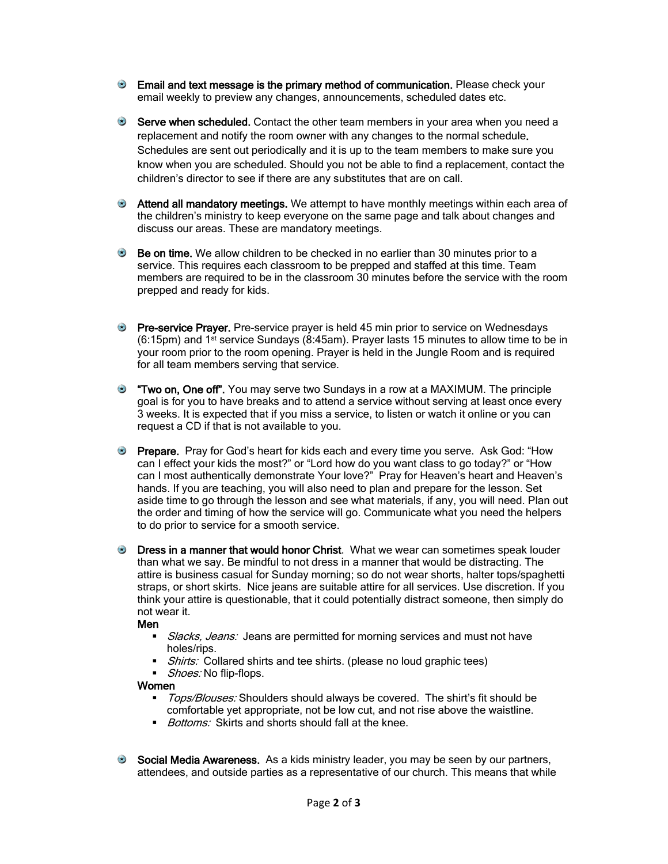- **Email and text message is the primary method of communication.** Please check your email weekly to preview any changes, announcements, scheduled dates etc.
- Serve when scheduled. Contact the other team members in your area when you need a replacement and notify the room owner with any changes to the normal schedule. Schedules are sent out periodically and it is up to the team members to make sure you know when you are scheduled. Should you not be able to find a replacement, contact the children's director to see if there are any substitutes that are on call.
- Attend all mandatory meetings. We attempt to have monthly meetings within each area of the children's ministry to keep everyone on the same page and talk about changes and discuss our areas. These are mandatory meetings.
- Be on time. We allow children to be checked in no earlier than 30 minutes prior to a service. This requires each classroom to be prepped and staffed at this time. Team members are required to be in the classroom 30 minutes before the service with the room prepped and ready for kids.
- **Pre-service Prayer.** Pre-service prayer is held 45 min prior to service on Wednesdays (6:15pm) and 1st service Sundays (8:45am). Prayer lasts 15 minutes to allow time to be in your room prior to the room opening. Prayer is held in the Jungle Room and is required for all team members serving that service.
- "Two on, One off". You may serve two Sundays in a row at a MAXIMUM. The principle goal is for you to have breaks and to attend a service without serving at least once every 3 weeks. It is expected that if you miss a service, to listen or watch it online or you can request a CD if that is not available to you.
- **Prepare.** Pray for God's heart for kids each and every time you serve. Ask God: "How can I effect your kids the most?" or "Lord how do you want class to go today?" or "How can I most authentically demonstrate Your love?" Pray for Heaven's heart and Heaven's hands. If you are teaching, you will also need to plan and prepare for the lesson. Set aside time to go through the lesson and see what materials, if any, you will need. Plan out the order and timing of how the service will go. Communicate what you need the helpers to do prior to service for a smooth service.
- **Dress in a manner that would honor Christ**. What we wear can sometimes speak louder than what we say. Be mindful to not dress in a manner that would be distracting. The attire is business casual for Sunday morning; so do not wear shorts, halter tops/spaghetti straps, or short skirts. Nice jeans are suitable attire for all services. Use discretion. If you think your attire is questionable, that it could potentially distract someone, then simply do not wear it.

#### Men

- Slacks, Jeans: Jeans are permitted for morning services and must not have holes/rips.
- *Shirts:* Collared shirts and tee shirts. (please no loud graphic tees)
- Shoes: No flip-flops.

#### **Women**

- Tops/Blouses: Shoulders should always be covered. The shirt's fit should be comfortable yet appropriate, not be low cut, and not rise above the waistline.
- Bottoms: Skirts and shorts should fall at the knee.
- Social Media Awareness. As a kids ministry leader, you may be seen by our partners, attendees, and outside parties as a representative of our church. This means that while